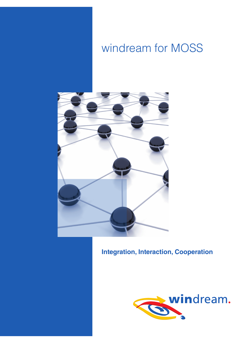# windream for MOSS



# **Integration, Interaction, Cooperation**

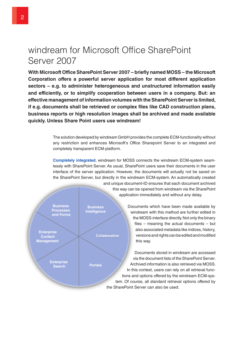# windream for Microsoft Office SharePoint Server 2007

**With Microsoft Office SharePoint Server 2007 – briefly named MOSS – the Microsoft Corporation offers a powerful server application for most different application sectors – e.g. to administer heterogeneous and unstructured information easily and efficiently, or to simplify cooperation between users in a company. But: an effective management of information volumes with the SharePoint Server is limited, if e.g. documents shall be retrieved or complex files like CAD construction plans, business reports or high resolution images shall be archived and made available quickly. Unless Share Point users use windream!**

> The solution developed by windream GmbH provides the complete ECM-functionality without any restriction and enhances Microsoft's Office Sharepoint Server to an integrated and completely transparent ECM-platform.

> **Completely integrated.** windream for MOSS connects the windream ECM-system seamlessly with SharePoint Server. As usual, SharePoint users save their documents in the user interface of the server application. However, the documents will actually not be saved on the SharePoint Server, but directly in the windream ECM-system. An automatically created

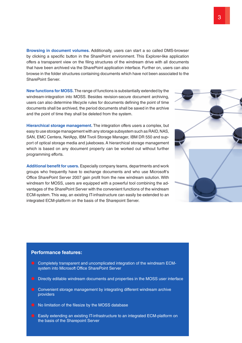**Browsing in document volumes.** Additionally, users can start a so called DMS-browser by clicking a specific button in the SharePoint environment. This Explorer-like application offers a transparent view on the filing structures of the windream drive with all documents that have been archived via the SharePoint application interface. Further on, users can also browse in the folder structures containing documents which have not been associated to the SharePoint Server.

**New functions for MOSS.** The range of functions is substantially extended by the windream-integration into MOSS. Besides revision-secure document archiving, users can also determine lifecycle rules for documents defining the point of time documents shall be archived, the period documents shall be saved in the archive and the point of time they shall be deleted from the system.

**Hierarchical storage management.** The integration offers users a complex, but easy to use storage management with any storage subsystem such as RAID, NAS, SAN, EMC Centera, NetApp, IBM Tivoli Storage Manager, IBM DR 550 and support of optical storage media and jukeboxes. A hierarchical storage management which is based on any document property can be worked out without further programming efforts.

**Additional benefit for users.** Especially company teams, departments and work groups who frequently have to exchange documents and who use Microsoft's Office SharePoint Server 2007 gain profit from the new windream solution. With windream for MOSS, users are equipped with a powerful tool combining the advantages of the SharePoint Server with the convenient functions of the windream ECM-system. This way, an existing IT-infrastructure can easily be extended to an integrated ECM-platform on the basis of the Sharepoint Server.

### **Performance features:**

- **Completely transparent and uncomplicated integration of the windream ECM**system into Microsoft Office SharePoint Server
- **•** Directly editable windream documents and properties in the MOSS user interface
- **Convenient storage management by integrating different windream archive** providers
- $\bullet$  No limitation of the filesize by the MOSS database
- Easily extending an existing IT-infrastructure to an integrated ECM-platform on the basis of the Sharepoint Server